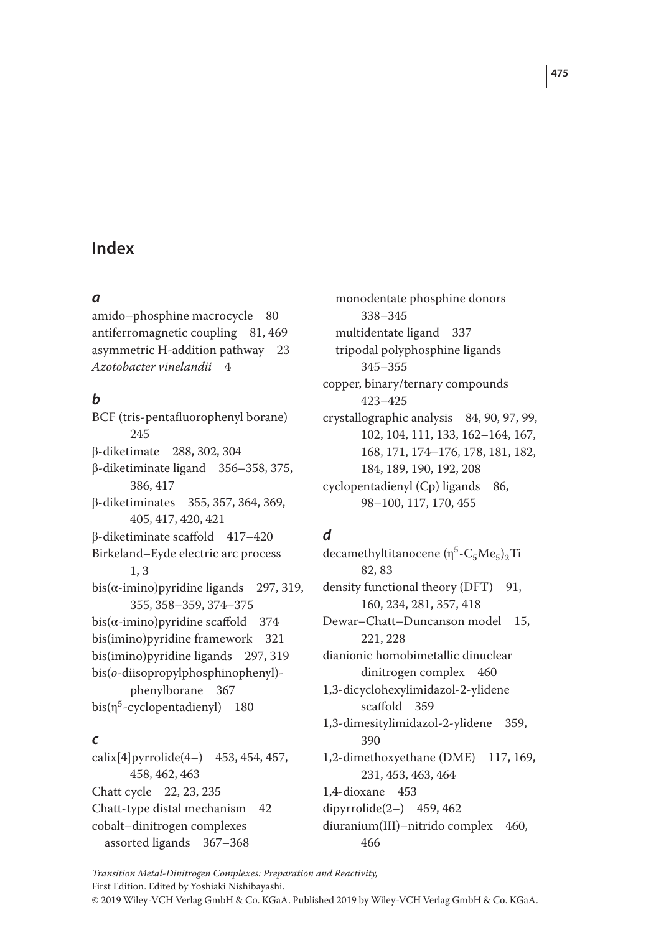# **Index**

#### *a*

amido–phosphine macrocycle 80 antiferromagnetic coupling 81, 469 asymmetric H-addition pathway 23 *Azotobacter vinelandii* 4

## *b*

BCF (tris-pentafluorophenyl borane) 245 β-diketimate 288, 302, 304 β-diketiminate ligand 356–358, 375, 386, 417 β-diketiminates 355, 357, 364, 369, 405, 417, 420, 421 β-diketiminate scaffold 417–420 Birkeland–Eyde electric arc process 1, 3 bis( $\alpha$ -imino)pyridine ligands 297, 319, 355, 358–359, 374–375 bis( $\alpha$ -imino)pyridine scaffold 374 bis(imino)pyridine framework 321 bis(imino)pyridine ligands 297, 319 bis(*o*-diisopropylphosphinophenyl) phenylborane 367  $bis(\eta^5$ -cyclopentadienyl) 180

## *c*

calix[4]pyrrolide(4–) 453, 454, 457, 458, 462, 463 Chatt cycle 22, 23, 235 Chatt-type distal mechanism 42 cobalt–dinitrogen complexes assorted ligands 367–368

monodentate phosphine donors 338–345 multidentate ligand 337 tripodal polyphosphine ligands 345–355 copper, binary/ternary compounds 423–425 crystallographic analysis 84, 90, 97, 99, 102, 104, 111, 133, 162–164, 167, 168, 171, 174–176, 178, 181, 182, 184, 189, 190, 192, 208 cyclopentadienyl (Cp) ligands 86, 98–100, 117, 170, 455

# *d*

decamethyltitanocene ( $n^5$ -C<sub>5</sub>Me<sub>5</sub>)<sub>2</sub>Ti 82, 83 density functional theory (DFT) 91, 160, 234, 281, 357, 418 Dewar–Chatt–Duncanson model 15, 221, 228 dianionic homobimetallic dinuclear dinitrogen complex 460 1,3-dicyclohexylimidazol-2-ylidene scaffold 359 1,3-dimesitylimidazol-2-ylidene 359, 390 1,2-dimethoxyethane (DME) 117, 169, 231, 453, 463, 464 1,4-dioxane 453 dipyrrolide(2–) 459, 462 diuranium(III)–nitrido complex 460, 466

*Transition Metal-Dinitrogen Complexes: Preparation and Reactivity,* First Edition. Edited by Yoshiaki Nishibayashi.

© 2019 Wiley-VCH Verlag GmbH & Co. KGaA. Published 2019 by Wiley-VCH Verlag GmbH & Co. KGaA.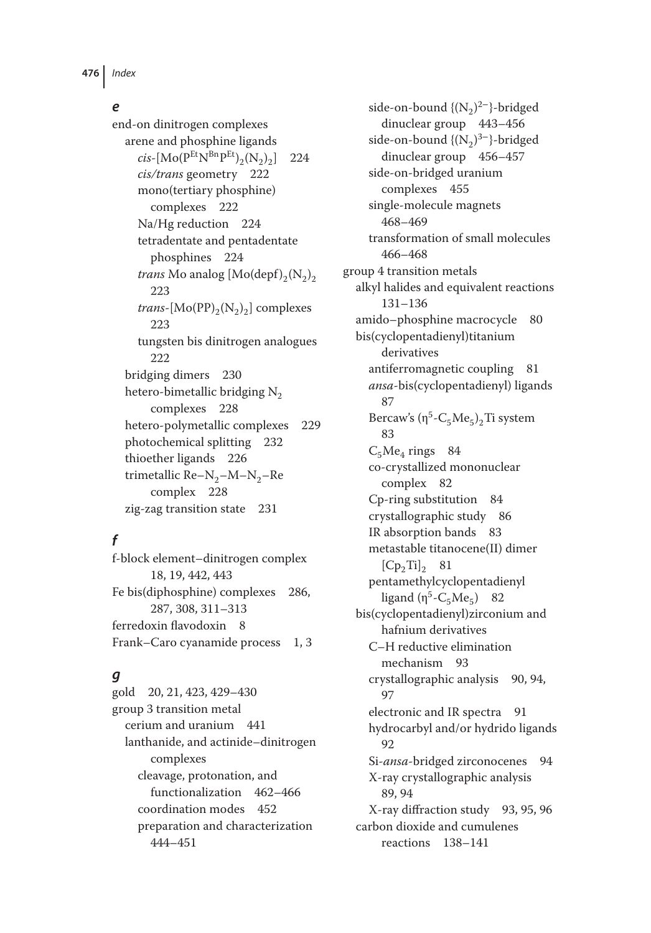#### *e*

end-on dinitrogen complexes arene and phosphine ligands  $cis$ -[Mo( $P^{Et}N^{Bn}P^{Et}$ )<sub>2</sub>(N<sub>2</sub>)<sub>2</sub>] 224 *cis/trans* geometry 222 mono(tertiary phosphine) complexes 222 Na/Hg reduction 224 tetradentate and pentadentate phosphines 224 *trans* Mo analog  $[Mo(\text{depf})_{2}(N_{2})_{2}]$ 223 *trans*-[ $Mo(PP)_{2}(N_{2})_{2}$ ] complexes 223 tungsten bis dinitrogen analogues 222 bridging dimers 230 hetero-bimetallic bridging  $N_2$ complexes 228 hetero-polymetallic complexes 229 photochemical splitting 232 thioether ligands 226 trimetallic Re– $N_2$ – $M$ – $N_2$ –Re complex 228 zig-zag transition state 231

# *f*

f-block element–dinitrogen complex 18, 19, 442, 443 Fe bis(diphosphine) complexes 286, 287, 308, 311–313 ferredoxin flavodoxin 8 Frank–Caro cyanamide process 1, 3

## *g*

gold 20, 21, 423, 429–430 group 3 transition metal cerium and uranium 441 lanthanide, and actinide–dinitrogen complexes cleavage, protonation, and functionalization 462–466 coordination modes 452 preparation and characterization 444–451

side-on-bound { $(N_2)^{2-}$ }-bridged dinuclear group 443–456 side-on-bound  $\{(N_2)^{3-}\}$ -bridged dinuclear group 456–457 side-on-bridged uranium complexes 455 single-molecule magnets 468–469 transformation of small molecules 466–468 group 4 transition metals alkyl halides and equivalent reactions 131–136 amido–phosphine macrocycle 80 bis(cyclopentadienyl)titanium derivatives antiferromagnetic coupling 81 *ansa*-bis(cyclopentadienyl) ligands 87 Bercaw's  $(\eta^5$ -C<sub>5</sub>Me<sub>5</sub>)<sub>2</sub>Ti system 83  $C_5Me_a$  rings 84 co-crystallized mononuclear complex 82 Cp-ring substitution 84 crystallographic study 86 IR absorption bands 83 metastable titanocene(II) dimer  $[Cp_2Ti]$ <sub>2</sub> 81 pentamethylcyclopentadienyl ligand  $(\eta^5$ -C<sub>5</sub>Me<sub>5</sub>) 82 bis(cyclopentadienyl)zirconium and hafnium derivatives C–H reductive elimination mechanism 93 crystallographic analysis 90, 94, 97 electronic and IR spectra 91 hydrocarbyl and/or hydrido ligands 92 Si-*ansa*-bridged zirconocenes 94 X-ray crystallographic analysis 89, 94 X-ray diffraction study 93, 95, 96 carbon dioxide and cumulenes reactions 138–141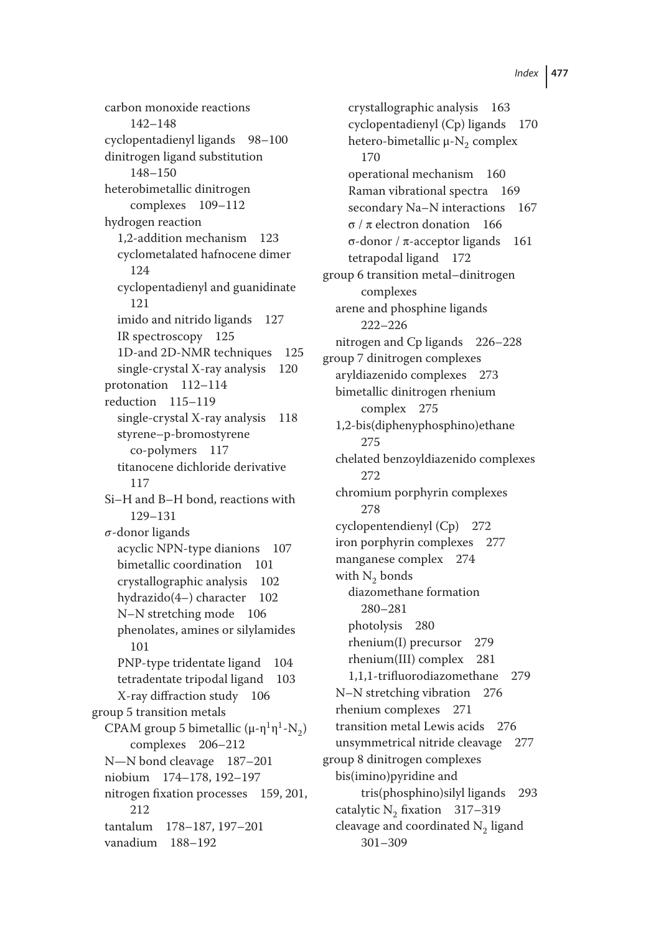carbon monoxide reactions 142–148 cyclopentadienyl ligands 98–100 dinitrogen ligand substitution 148–150 heterobimetallic dinitrogen complexes 109–112 hydrogen reaction 1,2-addition mechanism 123 cyclometalated hafnocene dimer 124 cyclopentadienyl and guanidinate 121 imido and nitrido ligands 127 IR spectroscopy 125 1D-and 2D-NMR techniques 125 single-crystal X-ray analysis 120 protonation 112–114 reduction 115–119 single-crystal X-ray analysis 118 styrene–p-bromostyrene co-polymers 117 titanocene dichloride derivative 117 Si–H and B–H bond, reactions with 129–131  $\sigma$ -donor ligands acyclic NPN-type dianions 107 bimetallic coordination 101 crystallographic analysis 102 hydrazido(4–) character 102 N–N stretching mode 106 phenolates, amines or silylamides 101 PNP-type tridentate ligand 104 tetradentate tripodal ligand 103 X-ray diffraction study 106 group 5 transition metals CPAM group 5 bimetallic ( $\mu$ -η<sup>1</sup>η<sup>1</sup>-N<sub>2</sub>) complexes 206–212 N—N bond cleavage 187–201 niobium 174–178, 192–197 nitrogen fixation processes 159, 201, 212 tantalum 178–187, 197–201 vanadium 188–192

crystallographic analysis 163 cyclopentadienyl (Cp) ligands 170 hetero-bimetallic  $\mu$ -N<sub>2</sub> complex 170 operational mechanism 160 Raman vibrational spectra 169 secondary Na–N interactions 167 σ / π electron donation 166 σ-donor / π-acceptor ligands 161 tetrapodal ligand 172 group 6 transition metal–dinitrogen complexes arene and phosphine ligands 222–226 nitrogen and Cp ligands 226–228 group 7 dinitrogen complexes aryldiazenido complexes 273 bimetallic dinitrogen rhenium complex 275 1,2-bis(diphenyphosphino)ethane 275 chelated benzoyldiazenido complexes 272 chromium porphyrin complexes 278 cyclopentendienyl (Cp) 272 iron porphyrin complexes 277 manganese complex 274 with  $N_2$  bonds diazomethane formation 280–281 photolysis 280 rhenium(I) precursor 279 rhenium(III) complex 281 1,1,1-trifluorodiazomethane 279 N–N stretching vibration 276 rhenium complexes 271 transition metal Lewis acids 276 unsymmetrical nitride cleavage 277 group 8 dinitrogen complexes bis(imino)pyridine and tris(phosphino)silyl ligands 293 catalytic  $N_2$  fixation 317–319 cleavage and coordinated N<sub>2</sub> ligand 301–309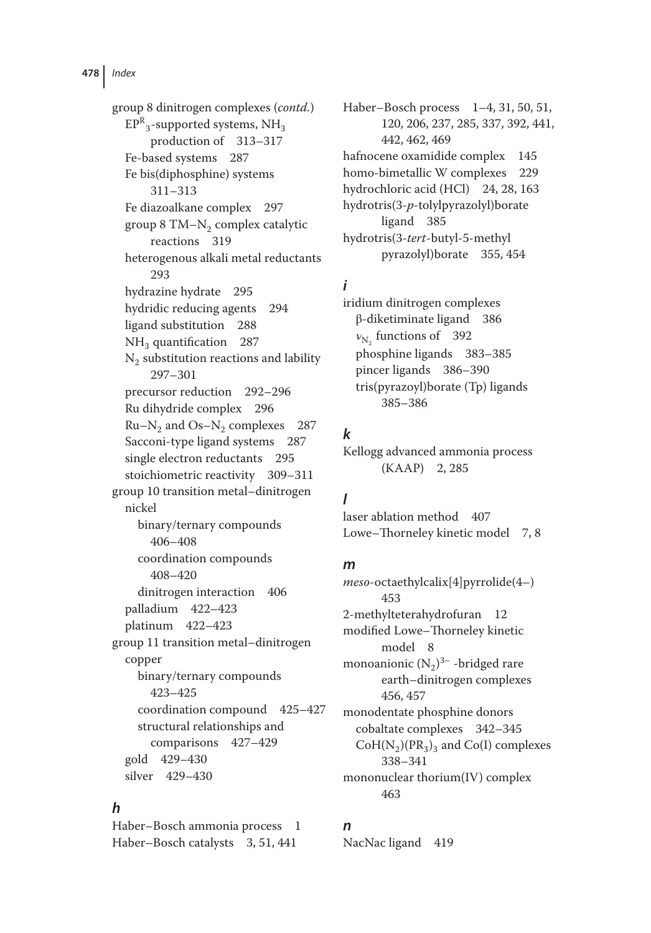group 8 dinitrogen complexes (*contd.*)  $\mathrm{EPR}_3$ -supported systems,  $\mathrm{NH}_3$ production of 313–317 Fe-based systems 287 Fe bis(diphosphine) systems 311–313 Fe diazoalkane complex 297 group 8 TM $-N_2$  complex catalytic reactions 319 heterogenous alkali metal reductants 293 hydrazine hydrate 295 hydridic reducing agents 294 ligand substitution 288  $NH<sub>3</sub>$  quantification 287  $N_2$  substitution reactions and lability 297–301 precursor reduction 292–296 Ru dihydride complex 296  $Ru-N<sub>2</sub>$  and Os–N<sub>2</sub> complexes 287 Sacconi-type ligand systems 287 single electron reductants 295 stoichiometric reactivity 309–311 group 10 transition metal–dinitrogen nickel binary/ternary compounds 406–408 coordination compounds 408–420 dinitrogen interaction 406 palladium 422–423 platinum 422–423 group 11 transition metal–dinitrogen copper binary/ternary compounds 423–425 coordination compound 425–427 structural relationships and comparisons 427–429 gold 429–430 silver 429–430

## *h*

Haber–Bosch ammonia process 1 Haber–Bosch catalysts 3, 51, 441

Haber–Bosch process 1–4, 31, 50, 51, 120, 206, 237, 285, 337, 392, 441, 442, 462, 469 hafnocene oxamidide complex 145 homo-bimetallic W complexes 229 hydrochloric acid (HCl) 24, 28, 163 hydrotris(3-*p-*tolylpyrazolyl)borate ligand 385 hydrotris(3-*tert*-butyl-5-methyl pyrazolyl)borate 355, 454

# *i*

iridium dinitrogen complexes β-diketiminate ligand 386  $v_{\rm N_c}$  functions of 392 phosphine ligands 383–385 pincer ligands 386–390 tris(pyrazoyl)borate (Tp) ligands 385–386

# *k*

Kellogg advanced ammonia process (KAAP) 2, 285

# *l*

laser ablation method 407 Lowe–Thorneley kinetic model 7, 8

#### *m*

*meso*-octaethylcalix[4]pyrrolide(4–) 453 2-methylteterahydrofuran 12 modified Lowe–Thorneley kinetic model 8 monoanionic  $(N_2)^{3-}$  -bridged rare earth–dinitrogen complexes 456, 457 monodentate phosphine donors cobaltate complexes 342–345  $CoH(N_2)(PR_3)$ <sub>3</sub> and Co(I) complexes 338–341 mononuclear thorium(IV) complex 463

## *n*

NacNac ligand 419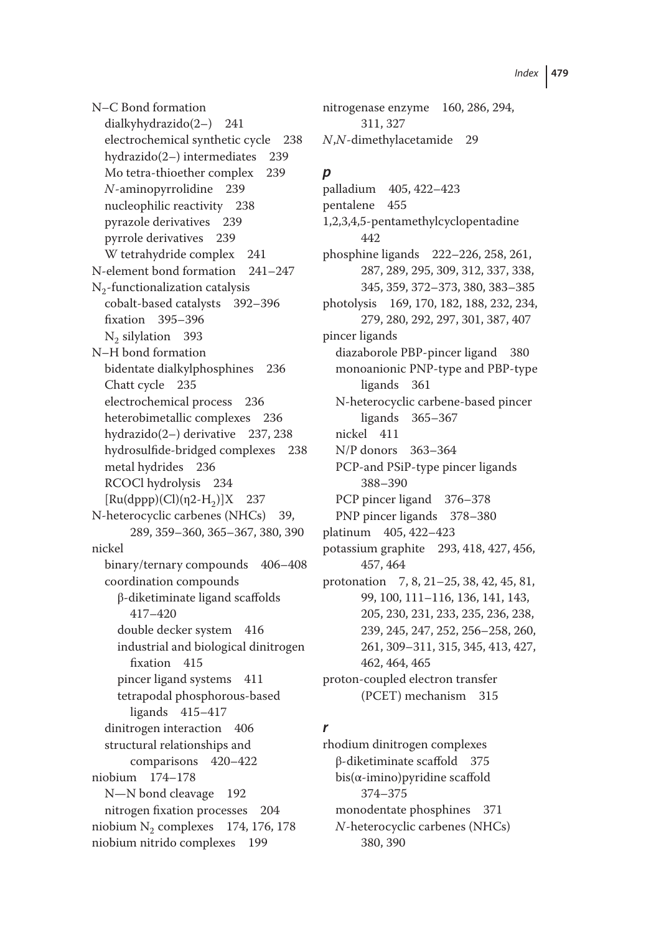N–C Bond formation dialkyhydrazido(2–) 241 electrochemical synthetic cycle 238 hydrazido(2–) intermediates 239 Mo tetra-thioether complex 239 *N*-aminopyrrolidine 239 nucleophilic reactivity 238 pyrazole derivatives 239 pyrrole derivatives 239 W tetrahydride complex 241 N-element bond formation 241–247  $N<sub>2</sub>$ -functionalization catalysis cobalt-based catalysts 392–396 fixation 395–396 N<sub>2</sub> silylation 393 N–H bond formation bidentate dialkylphosphines 236 Chatt cycle 235 electrochemical process 236 heterobimetallic complexes 236 hydrazido(2–) derivative 237, 238 hydrosulfide-bridged complexes 238 metal hydrides 236 RCOCl hydrolysis 234  $[Ru(dppp)(Cl)(n2-H<sub>2</sub>)]X$  237 N-heterocyclic carbenes (NHCs) 39, 289, 359–360, 365–367, 380, 390 nickel binary/ternary compounds 406–408 coordination compounds β-diketiminate ligand scaffolds 417–420 double decker system 416 industrial and biological dinitrogen fixation 415 pincer ligand systems 411 tetrapodal phosphorous-based ligands 415–417 dinitrogen interaction 406 structural relationships and comparisons 420–422 niobium 174–178 N—N bond cleavage 192 nitrogen fixation processes 204 niobium  $N_2$  complexes 174, 176, 178 niobium nitrido complexes 199

nitrogenase enzyme 160, 286, 294, 311, 327 *N*,*N*-dimethylacetamide 29

# *p*

palladium 405, 422–423 pentalene 455 1,2,3,4,5-pentamethylcyclopentadine 442 phosphine ligands 222–226, 258, 261, 287, 289, 295, 309, 312, 337, 338, 345, 359, 372–373, 380, 383–385 photolysis 169, 170, 182, 188, 232, 234, 279, 280, 292, 297, 301, 387, 407 pincer ligands diazaborole PBP-pincer ligand 380 monoanionic PNP-type and PBP-type ligands 361 N-heterocyclic carbene-based pincer ligands 365–367 nickel 411 N/P donors 363–364 PCP-and PSiP-type pincer ligands 388–390 PCP pincer ligand 376–378 PNP pincer ligands 378–380 platinum 405, 422–423 potassium graphite 293, 418, 427, 456, 457, 464 protonation 7, 8, 21–25, 38, 42, 45, 81, 99, 100, 111–116, 136, 141, 143, 205, 230, 231, 233, 235, 236, 238, 239, 245, 247, 252, 256–258, 260, 261, 309–311, 315, 345, 413, 427, 462, 464, 465 proton-coupled electron transfer (PCET) mechanism 315

## *r*

rhodium dinitrogen complexes β-diketiminate scaffold 375  $bis(\alpha\text{-imino})$ pyridine scaffold 374–375 monodentate phosphines 371 *N*-heterocyclic carbenes (NHCs) 380, 390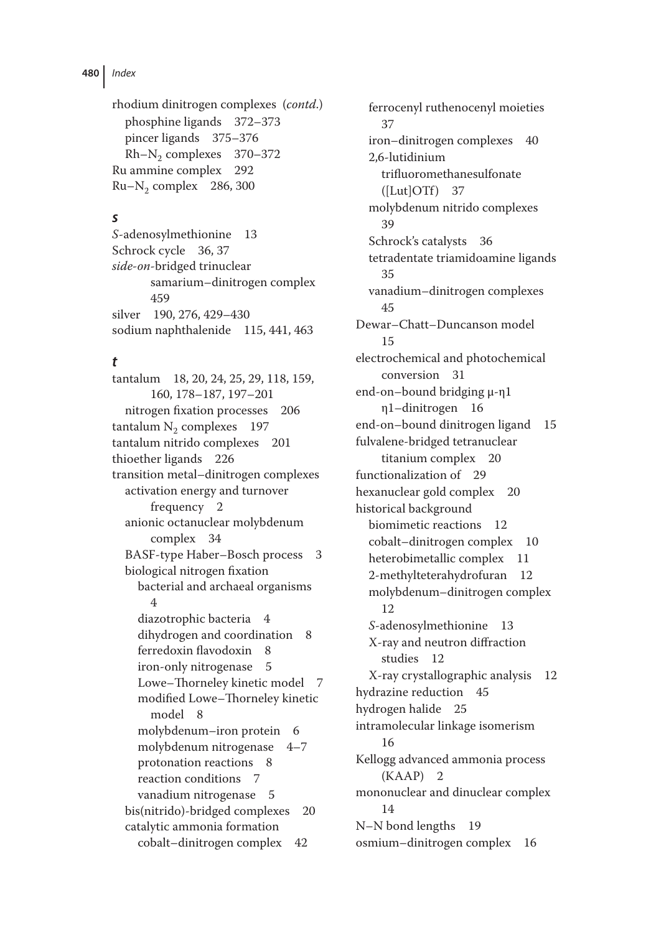```
rhodium dinitrogen complexes (contd.)
  phosphine ligands 372–373
  pincer ligands 375–376
  Rh-N<sub>2</sub> complexes 370–372
Ru ammine complex 292
Ru-N<sub>2</sub> complex 286, 300
```
#### *s*

*S*-adenosylmethionine 13 Schrock cycle 36, 37 *side-on*-bridged trinuclear samarium–dinitrogen complex 459 silver 190, 276, 429–430 sodium naphthalenide 115, 441, 463

## *t*

tantalum 18, 20, 24, 25, 29, 118, 159, 160, 178–187, 197–201 nitrogen fixation processes 206 tantalum  $N_2$  complexes 197 tantalum nitrido complexes 201 thioether ligands 226 transition metal–dinitrogen complexes activation energy and turnover frequency 2 anionic octanuclear molybdenum complex 34 BASF-type Haber–Bosch process 3 biological nitrogen fixation bacterial and archaeal organisms 4 diazotrophic bacteria 4 dihydrogen and coordination 8 ferredoxin flavodoxin 8 iron-only nitrogenase 5 Lowe–Thorneley kinetic model 7 modified Lowe–Thorneley kinetic model 8 molybdenum–iron protein 6 molybdenum nitrogenase 4–7 protonation reactions 8 reaction conditions 7 vanadium nitrogenase 5 bis(nitrido)-bridged complexes 20 catalytic ammonia formation cobalt–dinitrogen complex 42

ferrocenyl ruthenocenyl moieties 37 iron–dinitrogen complexes 40 2,6-lutidinium trifluoromethanesulfonate  $(ILut|OTT) 37$ molybdenum nitrido complexes 39 Schrock's catalysts 36 tetradentate triamidoamine ligands 35 vanadium–dinitrogen complexes 45 Dewar–Chatt–Duncanson model 15 electrochemical and photochemical conversion 31 end-on–bound bridging μ-η1 η1–dinitrogen 16 end-on–bound dinitrogen ligand 15 fulvalene-bridged tetranuclear titanium complex 20 functionalization of 29 hexanuclear gold complex 20 historical background biomimetic reactions 12 cobalt–dinitrogen complex 10 heterobimetallic complex 11 2-methylteterahydrofuran 12 molybdenum–dinitrogen complex 12 *S*-adenosylmethionine 13 X-ray and neutron diffraction studies 12 X-ray crystallographic analysis 12 hydrazine reduction 45 hydrogen halide 25 intramolecular linkage isomerism 16 Kellogg advanced ammonia process (KAAP) 2 mononuclear and dinuclear complex 14 N–N bond lengths 19 osmium–dinitrogen complex 16